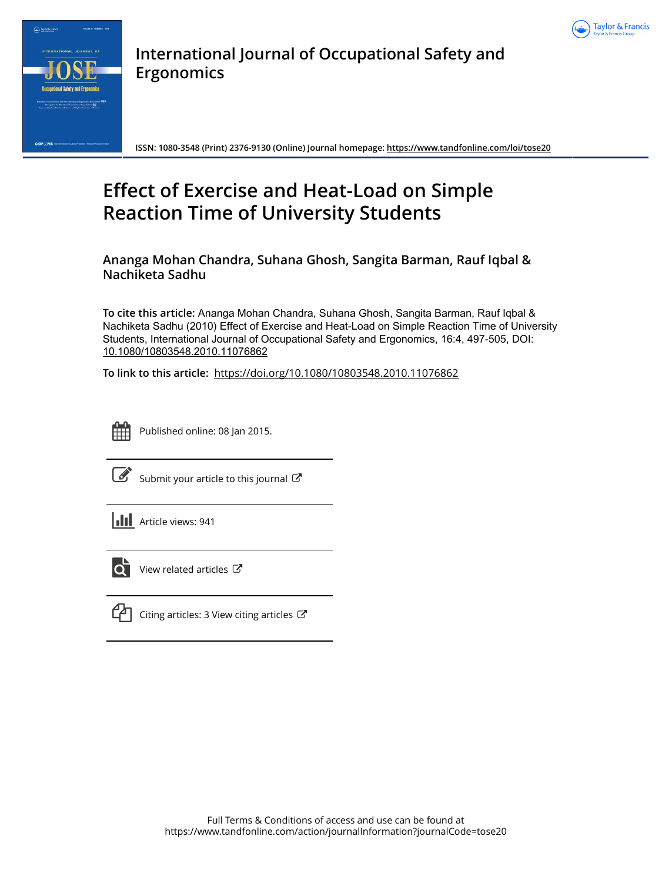



**International Journal of Occupational Safety and Ergonomics**

**ISSN: 1080-3548 (Print) 2376-9130 (Online) Journal homepage:<https://www.tandfonline.com/loi/tose20>**

# **Effect of Exercise and Heat-Load on Simple Reaction Time of University Students**

**Ananga Mohan Chandra, Suhana Ghosh, Sangita Barman, Rauf Iqbal & Nachiketa Sadhu**

**To cite this article:** Ananga Mohan Chandra, Suhana Ghosh, Sangita Barman, Rauf Iqbal & Nachiketa Sadhu (2010) Effect of Exercise and Heat-Load on Simple Reaction Time of University Students, International Journal of Occupational Safety and Ergonomics, 16:4, 497-505, DOI: [10.1080/10803548.2010.11076862](https://www.tandfonline.com/action/showCitFormats?doi=10.1080/10803548.2010.11076862)

**To link to this article:** <https://doi.org/10.1080/10803548.2010.11076862>



Published online: 08 Jan 2015.

| I |
|---|

[Submit your article to this journal](https://www.tandfonline.com/action/authorSubmission?journalCode=tose20&show=instructions)  $\mathbb{Z}$ 

**III** Article views: 941



[View related articles](https://www.tandfonline.com/doi/mlt/10.1080/10803548.2010.11076862) C



 $\Box$  [Citing articles: 3 View citing articles](https://www.tandfonline.com/doi/citedby/10.1080/10803548.2010.11076862#tabModule)  $\Box$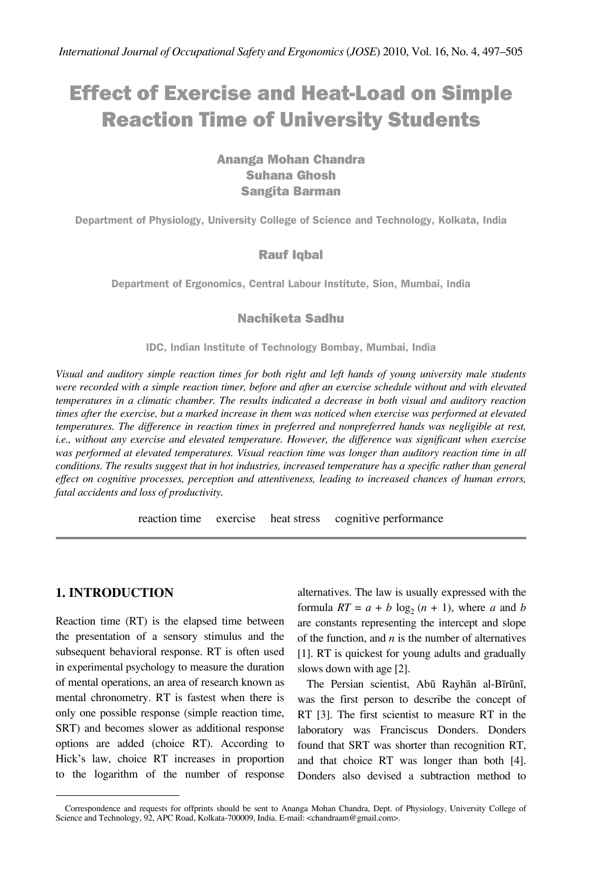# Effect of Exercise and Heat-Load on Simple Reaction Time of University Students

## Ananga Mohan Chandra Suhana Ghosh Sangita Barman

**Department of Physiology, University College of Science and Technology, Kolkata, India**

#### Rauf Iqbal

**Department of Ergonomics, Central Labour Institute, Sion, Mumbai, India**

### Nachiketa Sadhu

**IDC, Indian Institute of Technology Bombay, Mumbai, India**

*Visual and auditory simple reaction times for both right and left hands of young university male students were recorded with a simple reaction timer, before and after an exercise schedule without and with elevated temperatures in a climatic chamber. The results indicated a decrease in both visual and auditory reaction times after the exercise, but a marked increase in them was noticed when exercise was performed at elevated temperatures. The difference in reaction times in preferred and nonpreferred hands was negligible at rest, i.e., without any exercise and elevated temperature. However, the difference was significant when exercise was performed at elevated temperatures. Visual reaction time was longer than auditory reaction time in all conditions. The results suggest that in hot industries, increased temperature has a specific rather than general effect on cognitive processes, perception and attentiveness, leading to increased chances of human errors, fatal accidents and loss of productivity.*

reaction time exercise heat stress cognitive performance

## **1. INTRODUCTION**

Reaction time (RT) is the elapsed time between the presentation of a sensory stimulus and the subsequent behavioral response. RT is often used in experimental psychology to measure the duration of mental operations, an area of research known as mental chronometry. RT is fastest when there is only one possible response (simple reaction time, SRT) and becomes slower as additional response options are added (choice RT). According to Hick's law, choice RT increases in proportion to the logarithm of the number of response

alternatives. The law is usually expressed with the formula  $RT = a + b \log_2(n + 1)$ , where *a* and *b* are constants representing the intercept and slope of the function, and *n* is the number of alternatives [1]. RT is quickest for young adults and gradually slows down with age [2].

The Persian scientist, Abū Rayhān al-Bīrūnī, was the first person to describe the concept of RT [3]. The first scientist to measure RT in the laboratory was Franciscus Donders. Donders found that SRT was shorter than recognition RT, and that choice RT was longer than both [4]. Donders also devised a subtraction method to

Correspondence and requests for offprints should be sent to Ananga Mohan Chandra, Dept. of Physiology, University College of Science and Technology, 92, APC Road, Kolkata-700009, India. E-mail: <chandraam@gmail.com>.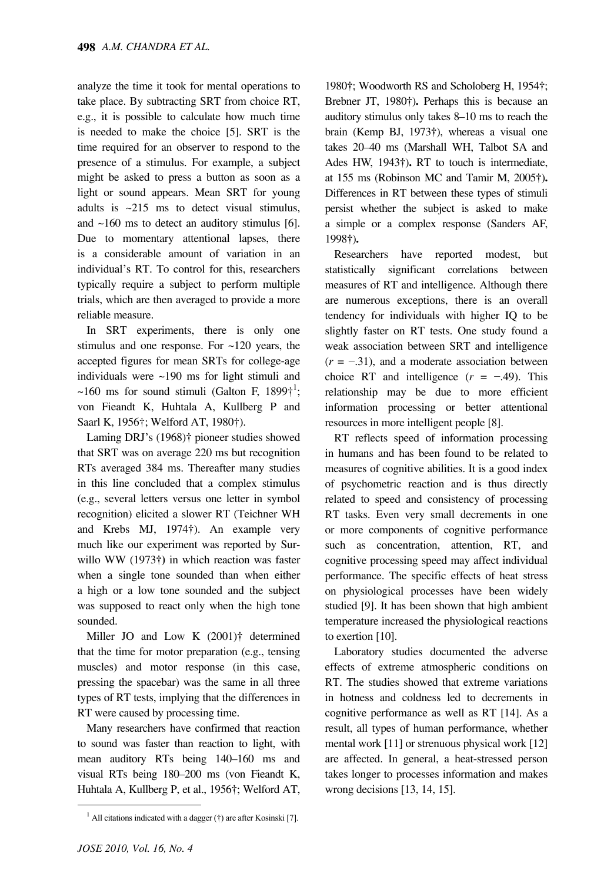analyze the time it took for mental operations to take place. By subtracting SRT from choice RT, e.g., it is possible to calculate how much time is needed to make the choice [5]. SRT is the time required for an observer to respond to the presence of a stimulus. For example, a subject might be asked to press a button as soon as a light or sound appears. Mean SRT for young adults is ~215 ms to detect visual stimulus, and  $\sim$ 160 ms to detect an auditory stimulus [6]. Due to momentary attentional lapses, there is a considerable amount of variation in an individual's RT. To control for this, researchers typically require a subject to perform multiple trials, which are then averaged to provide a more reliable measure.

In SRT experiments, there is only one stimulus and one response. For ~120 years, the accepted figures for mean SRTs for college-age individuals were ~190 ms for light stimuli and ~160 ms for sound stimuli (Galton F, 1899 $\dagger$ <sup>1</sup>; von Fieandt K, Huhtala A, Kullberg P and Saarl K, 1956†; Welford AT, 1980†).

Laming DRJ's (1968)**†** pioneer studies showed that SRT was on average 220 ms but recognition RTs averaged 384 ms. Thereafter many studies in this line concluded that a complex stimulus (e.g., several letters versus one letter in symbol recognition) elicited a slower RT (Teichner WH and Krebs MJ, 1974**†**). An example very much like our experiment was reported by Surwillo WW (1973**†)** in which reaction was faster when a single tone sounded than when either a high or a low tone sounded and the subject was supposed to react only when the high tone sounded.

Miller JO and Low K (2001)**†** determined that the time for motor preparation (e.g., tensing muscles) and motor response (in this case, pressing the spacebar) was the same in all three types of RT tests, implying that the differences in RT were caused by processing time.

Many researchers have confirmed that reaction to sound was faster than reaction to light, with mean auditory RTs being 140–160 ms and visual RTs being 180–200 ms (von Fieandt K, Huhtala A, Kullberg P, et al., 1956**†**; Welford AT,

1980**†**; Woodworth RS and Scholoberg H, 1954**†**; Brebner JT, 1980**†**)**.** Perhaps this is because an auditory stimulus only takes 8–10 ms to reach the brain (Kemp BJ, 1973**†**), whereas a visual one takes 20–40 ms (Marshall WH, Talbot SA and Ades HW, 1943**†**)**.** RT to touch is intermediate, at 155 ms (Robinson MC and Tamir M, 2005**†**)**.** Differences in RT between these types of stimuli persist whether the subject is asked to make a simple or a complex response (Sanders AF, 1998**†**)**.**

Researchers have reported modest, but statistically significant correlations between measures of RT and intelligence. Although there are numerous exceptions, there is an overall tendency for individuals with higher IQ to be slightly faster on RT tests. One study found a weak association between SRT and intelligence  $(r = -0.31)$ , and a moderate association between choice RT and intelligence  $(r = -0.49)$ . This relationship may be due to more efficient information processing or better attentional resources in more intelligent people [8].

RT reflects speed of information processing in humans and has been found to be related to measures of cognitive abilities. It is a good index of psychometric reaction and is thus directly related to speed and consistency of processing RT tasks. Even very small decrements in one or more components of cognitive performance such as concentration, attention, RT, and cognitive processing speed may affect individual performance. The specific effects of heat stress on physiological processes have been widely studied [9]. It has been shown that high ambient temperature increased the physiological reactions to exertion [10].

Laboratory studies documented the adverse effects of extreme atmospheric conditions on RT. The studies showed that extreme variations in hotness and coldness led to decrements in cognitive performance as well as RT [14]. As a result, all types of human performance, whether mental work [11] or strenuous physical work [12] are affected. In general, a heat-stressed person takes longer to processes information and makes wrong decisions [13, 14, 15].

 $1$  All citations indicated with a dagger (†) are after Kosinski [7].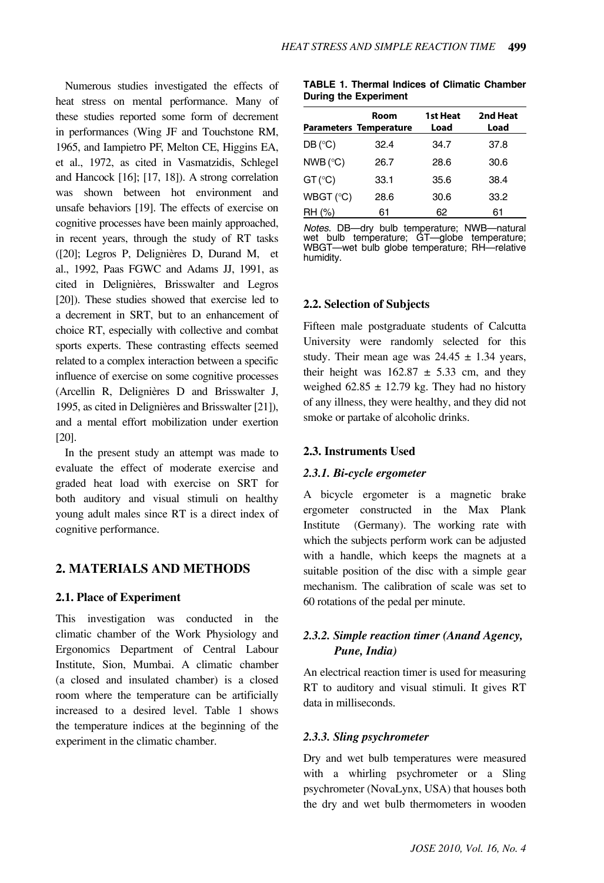Numerous studies investigated the effects of heat stress on mental performance. Many of these studies reported some form of decrement in performances (Wing JF and Touchstone RM, 1965, and Iampietro PF, Melton CE, Higgins EA, et al., 1972, as cited in Vasmatzidis, Schlegel and Hancock [16]; [17, 18]). A strong correlation was shown between hot environment and unsafe behaviors [19]. The effects of exercise on cognitive processes have been mainly approached, in recent years, through the study of RT tasks ([20]; Legros P, Delignières D, Durand M, et al., 1992, Paas FGWC and Adams JJ, 1991, as cited in Delignières, Brisswalter and Legros [20]). These studies showed that exercise led to a decrement in SRT, but to an enhancement of choice RT, especially with collective and combat sports experts. These contrasting effects seemed related to a complex interaction between a specific influence of exercise on some cognitive processes (Arcellin R, Delignières D and Brisswalter J, 1995, as cited in Delignières and Brisswalter [21]), and a mental effort mobilization under exertion [20].

In the present study an attempt was made to evaluate the effect of moderate exercise and graded heat load with exercise on SRT for both auditory and visual stimuli on healthy young adult males since RT is a direct index of cognitive performance.

### **2. MATERIALS AND METHODS**

#### **2.1. Place of Experiment**

This investigation was conducted in the climatic chamber of the Work Physiology and Ergonomics Department of Central Labour Institute, Sion, Mumbai. A climatic chamber (a closed and insulated chamber) is a closed room where the temperature can be artificially increased to a desired level. Table 1 shows the temperature indices at the beginning of the experiment in the climatic chamber.

| <b>TABLE 1. Thermal Indices of Climatic Chamber</b> |  |  |  |
|-----------------------------------------------------|--|--|--|
| During the Experiment                               |  |  |  |

|                   | Room<br><b>Parameters Temperature</b> | 1st Heat<br>Load | 2nd Heat<br>Load |
|-------------------|---------------------------------------|------------------|------------------|
| DB (°C)           | 32.4                                  | 34.7             | 37.8             |
| NWB $(^{\circ}C)$ | 26.7                                  | 28.6             | 30.6             |
| $GT$ ( $°C$ )     | 33.1                                  | 35.6             | 38.4             |
| WBGT $(°C)$       | 28.6                                  | 30.6             | 33.2             |
| RH (%)            | 61                                    | 62               | 61               |

*Notes*. DB—dry bulb temperature; NWB—natural wet bulb temperature; GT—globe temperature; WBGT—wet bulb globe temperature; RH—relative humidity.

#### **2.2. Selection of Subjects**

Fifteen male postgraduate students of Calcutta University were randomly selected for this study. Their mean age was  $24.45 \pm 1.34$  years, their height was  $162.87 \pm 5.33$  cm, and they weighed  $62.85 \pm 12.79$  kg. They had no history of any illness, they were healthy, and they did not smoke or partake of alcoholic drinks.

#### **2.3. Instruments Used**

#### *2.3.1. Bi-cycle ergometer*

A bicycle ergometer is a magnetic brake ergometer constructed in the Max Plank Institute (Germany). The working rate with which the subjects perform work can be adjusted with a handle, which keeps the magnets at a suitable position of the disc with a simple gear mechanism. The calibration of scale was set to 60 rotations of the pedal per minute.

## *2.3.2. Simple reaction timer (Anand Agency, Pune, India)*

An electrical reaction timer is used for measuring RT to auditory and visual stimuli. It gives RT data in milliseconds.

#### *2.3.3. Sling psychrometer*

Dry and wet bulb temperatures were measured with a whirling psychrometer or a Sling psychrometer (NovaLynx, USA) that houses both the dry and wet bulb thermometers in wooden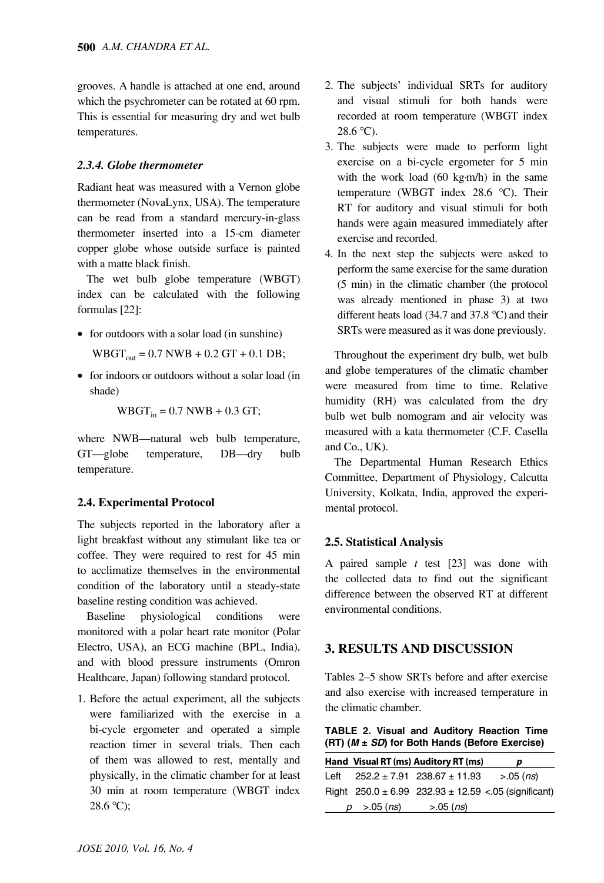grooves. A handle is attached at one end, around which the psychrometer can be rotated at 60 rpm. This is essential for measuring dry and wet bulb temperatures.

## *2.3.4. Globe thermometer*

Radiant heat was measured with a Vernon globe thermometer (NovaLynx, USA). The temperature can be read from a standard mercury-in-glass thermometer inserted into a 15-cm diameter copper globe whose outside surface is painted with a matte black finish.

The wet bulb globe temperature (WBGT) index can be calculated with the following formulas [22]:

• for outdoors with a solar load (in sunshine)

 $WBGT_{out} = 0.7 NWB + 0.2 GT + 0.1 DB;$ 

• for indoors or outdoors without a solar load (in shade)

 $WBGT_{in} = 0.7 NWB + 0.3 GT;$ 

where NWB—natural web bulb temperature, GT—globe temperature, DB—dry bulb temperature.

## **2.4. Experimental Protocol**

The subjects reported in the laboratory after a light breakfast without any stimulant like tea or coffee. They were required to rest for 45 min to acclimatize themselves in the environmental condition of the laboratory until a steady-state baseline resting condition was achieved.

Baseline physiological conditions were monitored with a polar heart rate monitor (Polar Electro, USA), an ECG machine (BPL, India), and with blood pressure instruments (Omron Healthcare, Japan) following standard protocol.

1. Before the actual experiment, all the subjects were familiarized with the exercise in a bi-cycle ergometer and operated a simple reaction timer in several trials. Then each of them was allowed to rest, mentally and physically, in the climatic chamber for at least 30 min at room temperature (WBGT index  $28.6 °C$ ;

- 2. The subjects' individual SRTs for auditory and visual stimuli for both hands were recorded at room temperature (WBGT index  $28.6 °C$ ).
- 3. The subjects were made to perform light exercise on a bi-cycle ergometer for 5 min with the work load  $(60 \text{ kg} \cdot \text{m/h})$  in the same temperature (WBGT index 28.6 °C). Their RT for auditory and visual stimuli for both hands were again measured immediately after exercise and recorded.
- 4. In the next step the subjects were asked to perform the same exercise for the same duration (5 min) in the climatic chamber (the protocol was already mentioned in phase 3) at two different heats load (34.7 and 37.8 °C) and their SRTs were measured as it was done previously.

Throughout the experiment dry bulb, wet bulb and globe temperatures of the climatic chamber were measured from time to time. Relative humidity (RH) was calculated from the dry bulb wet bulb nomogram and air velocity was measured with a kata thermometer (C.F. Casella and Co., UK).

The Departmental Human Research Ethics Committee, Department of Physiology, Calcutta University, Kolkata, India, approved the experimental protocol.

## **2.5. Statistical Analysis**

A paired sample *t* test [23] was done with the collected data to find out the significant difference between the observed RT at different environmental conditions.

## **3. RESULTS AND DISCUSSION**

Tables 2–5 show SRTs before and after exercise and also exercise with increased temperature in the climatic chamber.

**TABLE 2. Visual and Auditory Reaction Time (RT) (***M* **±** *SD***) for Both Hands (Before Exercise)**

|                 | Hand Visual RT (ms) Auditory RT (ms)     | p                                                            |
|-----------------|------------------------------------------|--------------------------------------------------------------|
|                 | Left $252.2 \pm 7.91$ $238.67 \pm 11.93$ | $> 0.05$ (ns)                                                |
|                 |                                          | Right $250.0 \pm 6.99$ $232.93 \pm 12.59$ <.05 (significant) |
| $p > 0.05$ (ns) | $> 0.05$ ( <i>ns</i> )                   |                                                              |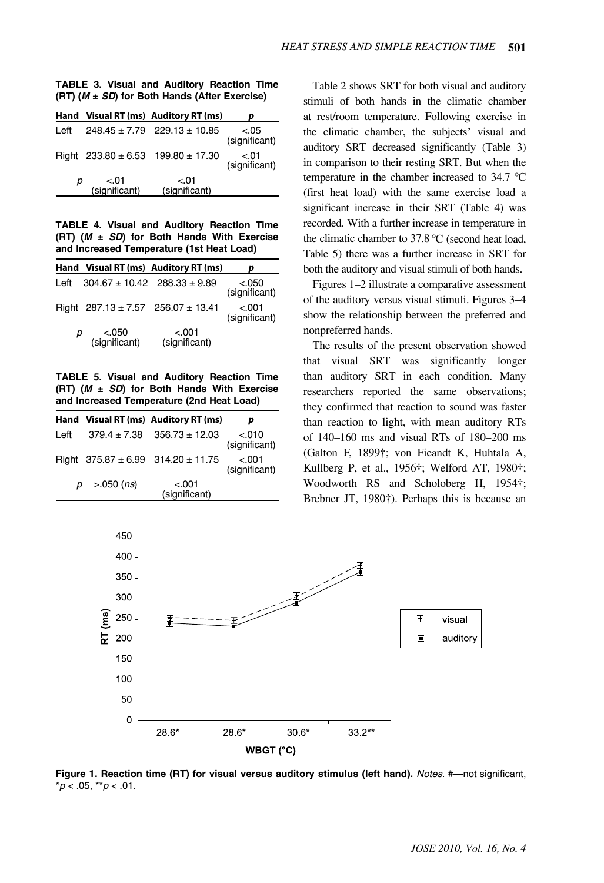|  |  |  |  | <b>TABLE 3. Visual and Auditory Reaction Time</b>     |  |  |
|--|--|--|--|-------------------------------------------------------|--|--|
|  |  |  |  | $(RT)$ ( $M \pm SD$ ) for Both Hands (After Exercise) |  |  |

|      |                         | Hand Visual RT (ms) Auditory RT (ms)       |                         |
|------|-------------------------|--------------------------------------------|-------------------------|
| Left |                         | $248.45 \pm 7.79$ 229.13 $\pm$ 10.85       | $-.05$<br>(significant) |
|      |                         | Right $233.80 \pm 6.53$ 199.80 $\pm$ 17.30 | $-.01$<br>(significant) |
| р    | $-.01$<br>(significant) | $-.01$<br>(significant)                    |                         |

**TABLE 4. Visual and Auditory Reaction Time (RT) (***M* **±** *SD***) for Both Hands With Exercise and Increased Temperature (1st Heat Load)**

|      |                        | Hand Visual RT (ms) Auditory RT (ms)       |                          |
|------|------------------------|--------------------------------------------|--------------------------|
| Left |                        | $304.67 \pm 10.42$ 288.33 $\pm$ 9.89       | < 0.050<br>(significant) |
|      |                        | Right $287.13 \pm 7.57$ $256.07 \pm 13.41$ | < 0.01<br>(significant)  |
| р    | 0.050<br>(significant) | < 0.001<br>(significant)                   |                          |

**TABLE 5. Visual and Auditory Reaction Time (RT) (***M* **±** *SD***) for Both Hands With Exercise and Increased Temperature (2nd Heat Load)**

|      |                | Hand Visual RT (ms) Auditory RT (ms)       | D                        |
|------|----------------|--------------------------------------------|--------------------------|
| Left |                | $379.4 \pm 7.38$ $356.73 \pm 12.03$        | $-.010$<br>(significant) |
|      |                | Right $375.87 \pm 6.99$ $314.20 \pm 11.75$ | $-.001$<br>(significant) |
| D    | $> 0.050$ (ns) | $-.001$<br>(significant)                   |                          |

Table 2 shows SRT for both visual and auditory stimuli of both hands in the climatic chamber at rest/room temperature. Following exercise in the climatic chamber, the subjects' visual and auditory SRT decreased significantly (Table 3) in comparison to their resting SRT. But when the temperature in the chamber increased to 34.7 °C (first heat load) with the same exercise load a significant increase in their SRT (Table 4) was recorded. With a further increase in temperature in the climatic chamber to 37.8 °C (second heat load, Table 5) there was a further increase in SRT for both the auditory and visual stimuli of both hands.

Figures 1–2 illustrate a comparative assessment of the auditory versus visual stimuli. Figures 3–4 show the relationship between the preferred and nonpreferred hands.

The results of the present observation showed that visual SRT was significantly longer than auditory SRT in each condition. Many researchers reported the same observations; they confirmed that reaction to sound was faster than reaction to light, with mean auditory RTs of 140–160 ms and visual RTs of 180–200 ms (Galton F, 1899**†**; von Fieandt K, Huhtala A, Kullberg P, et al., 1956**†**; Welford AT, 1980**†**; Woodworth RS and Scholoberg H, 1954**†**; Brebner JT, 1980**†**). Perhaps this is because an



**Figure 1. Reaction time (RT) for visual versus auditory stimulus (left hand).** *Notes*. #—not significant, \**p* < .05, \*\**p* < .01.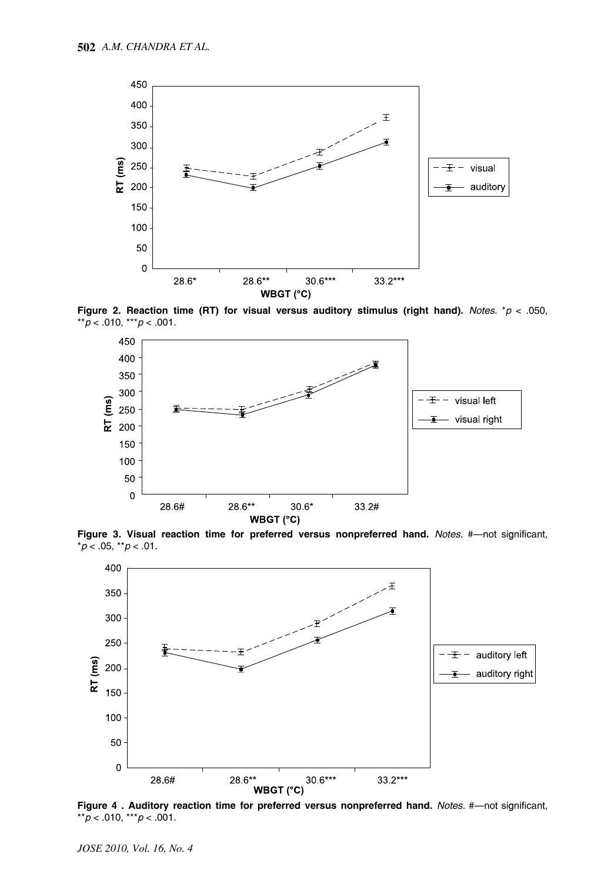

**Figure 2. Reaction time (RT) for visual versus auditory stimulus (right hand).** *Notes.* \**p* < .050, \*\**p* < .010, \*\*\**p* < .001.



**Figure 3. Visual reaction time for preferred versus nonpreferred hand.** *Notes.* #—not significant, \**p* < .05, \*\**p* < .01.



**Figure 4 . Auditory reaction time for preferred versus nonpreferred hand.** *Notes.* #—not significant, \*\**p* < .010, \*\*\**p* < .001.

*JOSE 2010, Vol. 16, No. 4*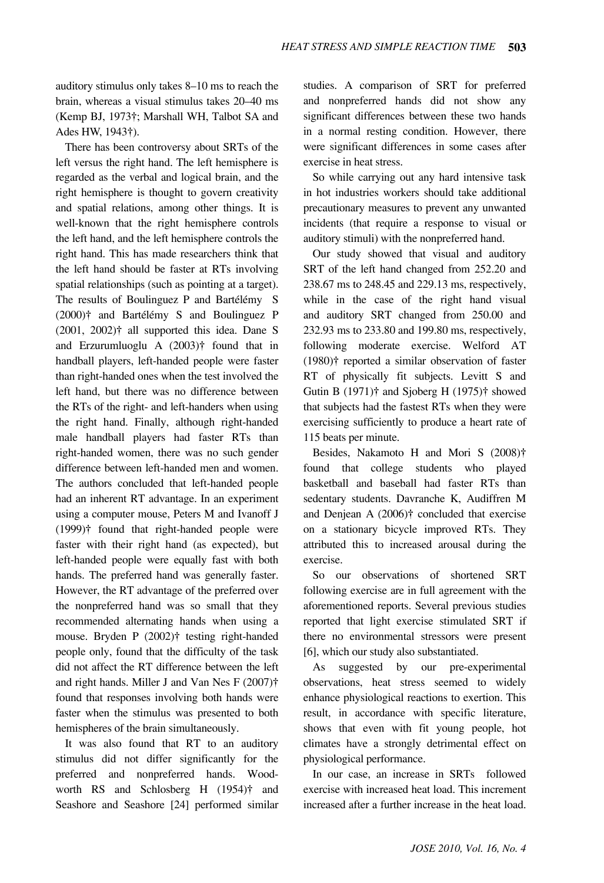auditory stimulus only takes 8–10 ms to reach the brain, whereas a visual stimulus takes 20–40 ms (Kemp BJ, 1973**†**; Marshall WH, Talbot SA and Ades HW, 1943**†**).

There has been controversy about SRTs of the left versus the right hand. The left hemisphere is regarded as the verbal and logical brain, and the right hemisphere is thought to govern creativity and spatial relations, among other things. It is well-known that the right hemisphere controls the left hand, and the left hemisphere controls the right hand. This has made researchers think that the left hand should be faster at RTs involving spatial relationships (such as pointing at a target). The results of Boulinguez P and Bartélémy S (2000)**†** and Bartélémy S and Boulinguez P (2001, 2002)**†** all supported this idea. Dane S and Erzurumluoglu A (2003)**†** found that in handball players, left-handed people were faster than right-handed ones when the test involved the left hand, but there was no difference between the RTs of the right- and left-handers when using the right hand. Finally, although right-handed male handball players had faster RTs than right-handed women, there was no such gender difference between left-handed men and women. The authors concluded that left-handed people had an inherent RT advantage. In an experiment using a computer mouse, Peters M and Ivanoff J (1999)**†** found that right-handed people were faster with their right hand (as expected), but left-handed people were equally fast with both hands. The preferred hand was generally faster. However, the RT advantage of the preferred over the nonpreferred hand was so small that they recommended alternating hands when using a mouse. Bryden P (2002)**†** testing right-handed people only, found that the difficulty of the task did not affect the RT difference between the left and right hands. Miller J and Van Nes F (2007)**†** found that responses involving both hands were faster when the stimulus was presented to both hemispheres of the brain simultaneously.

It was also found that RT to an auditory stimulus did not differ significantly for the preferred and nonpreferred hands. Woodworth RS and Schlosberg H (1954)**†** and Seashore and Seashore [24] performed similar studies. A comparison of SRT for preferred and nonpreferred hands did not show any significant differences between these two hands in a normal resting condition. However, there were significant differences in some cases after exercise in heat stress.

So while carrying out any hard intensive task in hot industries workers should take additional precautionary measures to prevent any unwanted incidents (that require a response to visual or auditory stimuli) with the nonpreferred hand.

Our study showed that visual and auditory SRT of the left hand changed from 252.20 and 238.67 ms to 248.45 and 229.13 ms, respectively, while in the case of the right hand visual and auditory SRT changed from 250.00 and 232.93 ms to 233.80 and 199.80 ms, respectively, following moderate exercise. Welford AT (1980)**†** reported a similar observation of faster RT of physically fit subjects. Levitt S and Gutin B (1971)**†** and Sjoberg H (1975)**†** showed that subjects had the fastest RTs when they were exercising sufficiently to produce a heart rate of 115 beats per minute.

Besides, Nakamoto H and Mori S (2008)**†** found that college students who played basketball and baseball had faster RTs than sedentary students. Davranche K, Audiffren M and Denjean A (2006)**†** concluded that exercise on a stationary bicycle improved RTs. They attributed this to increased arousal during the exercise.

So our observations of shortened SRT following exercise are in full agreement with the aforementioned reports. Several previous studies reported that light exercise stimulated SRT if there no environmental stressors were present [6], which our study also substantiated.

As suggested by our pre-experimental observations, heat stress seemed to widely enhance physiological reactions to exertion. This result, in accordance with specific literature, shows that even with fit young people, hot climates have a strongly detrimental effect on physiological performance.

In our case, an increase in SRTs followed exercise with increased heat load. This increment increased after a further increase in the heat load.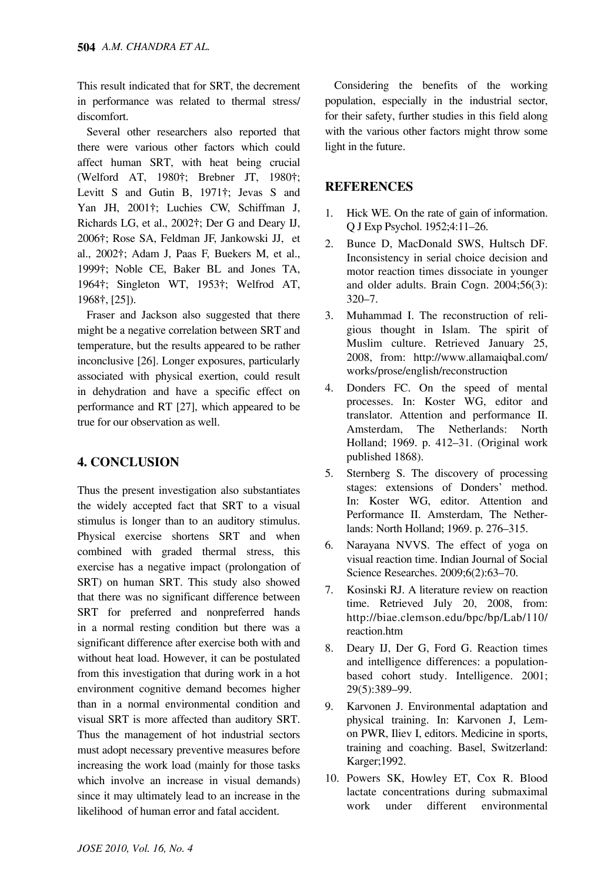This result indicated that for SRT, the decrement in performance was related to thermal stress/ discomfort.

Several other researchers also reported that there were various other factors which could affect human SRT, with heat being crucial (Welford AT, 1980**†**; Brebner JT, 1980**†**; Levitt S and Gutin B, 1971**†**; Jevas S and Yan JH, 2001**†**; Luchies CW, Schiffman J, Richards LG, et al., 2002**†**; Der G and Deary IJ, 2006**†**; Rose SA, Feldman JF, Jankowski JJ, et al., 2002**†**; Adam J, Paas F, Buekers M, et al., 1999**†**; Noble CE, Baker BL and Jones TA, 1964**†**; Singleton WT, 1953**†**; Welfrod AT, 1968**†**, [25]).

Fraser and Jackson also suggested that there might be a negative correlation between SRT and temperature, but the results appeared to be rather inconclusive [26]. Longer exposures, particularly associated with physical exertion, could result in dehydration and have a specific effect on performance and RT [27], which appeared to be true for our observation as well.

# **4. CONCLUSION**

Thus the present investigation also substantiates the widely accepted fact that SRT to a visual stimulus is longer than to an auditory stimulus. Physical exercise shortens SRT and when combined with graded thermal stress, this exercise has a negative impact (prolongation of SRT) on human SRT. This study also showed that there was no significant difference between SRT for preferred and nonpreferred hands in a normal resting condition but there was a significant difference after exercise both with and without heat load. However, it can be postulated from this investigation that during work in a hot environment cognitive demand becomes higher than in a normal environmental condition and visual SRT is more affected than auditory SRT. Thus the management of hot industrial sectors must adopt necessary preventive measures before increasing the work load (mainly for those tasks which involve an increase in visual demands) since it may ultimately lead to an increase in the likelihood of human error and fatal accident.

Considering the benefits of the working population, especially in the industrial sector, for their safety, further studies in this field along with the various other factors might throw some light in the future.

# **REFERENCES**

- 1. Hick WE. On the rate of gain of information. Q J Exp Psychol. 1952;4:11–26.
- 2. Bunce D, MacDonald SWS, Hultsch DF. Inconsistency in serial choice decision and motor reaction times dissociate in younger and older adults. Brain Cogn. 2004;56(3): 320–7.
- 3. Muhammad I. The reconstruction of religious thought in Islam. The spirit of Muslim culture. Retrieved January 25, 2008, from: http://www.allamaiqbal.com/ works/prose/english/reconstruction
- 4. Donders FC. On the speed of mental processes. In: Koster WG, editor and translator. Attention and performance II. Amsterdam, The Netherlands: North Holland; 1969. p. 412–31. (Original work published 1868).
- 5. Sternberg S. The discovery of processing stages: extensions of Donders' method. In: Koster WG, editor. Attention and Performance II. Amsterdam, The Netherlands: North Holland; 1969. p. 276–315.
- 6. Narayana NVVS. The effect of yoga on visual reaction time. Indian Journal of Social Science Researches. 2009;6(2):63–70.
- 7. Kosinski RJ. A literature review on reaction time. Retrieved July 20, 2008, from: http://biae.clemson.edu/bpc/bp/Lab/110/ reaction.htm
- 8. Deary IJ, Der G, Ford G. Reaction times and intelligence differences: a populationbased cohort study. Intelligence. 2001; 29(5):389–99.
- 9. Karvonen J. Environmental adaptation and physical training. In: Karvonen J, Lemon PWR, Iliev I, editors. Medicine in sports, training and coaching. Basel, Switzerland: Karger;1992.
- 10. Powers SK, Howley ET, Cox R. Blood lactate concentrations during submaximal work under different environmental